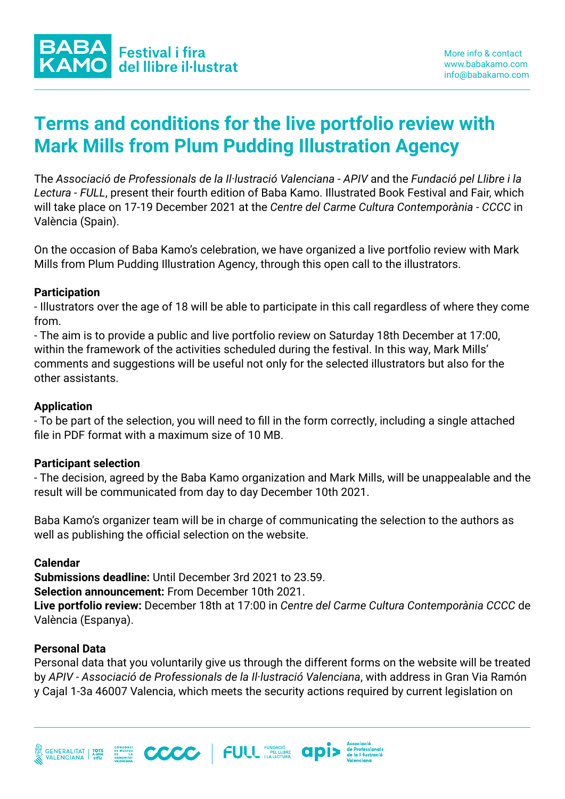# **Terms and conditions for the live portfolio review with Mark Mills from Plum Pudding Illustration Agency**

The *Associació de Professionals de la Il·lustració Valenciana - APIV* and the *Fundació pel Llibre i la Lectura - FULL*, present their fourth edition of Baba Kamo. Illustrated Book Festival and Fair, which will take place on 17-19 December 2021 at the *Centre del Carme Cultura Contemporània - CCCC* in València (Spain).

On the occasion of Baba Kamo's celebration, we have organized a live portfolio review with Mark Mills from Plum Pudding Illustration Agency, through this open call to the illustrators.

### **Participation**

- Illustrators over the age of 18 will be able to participate in this call regardless of where they come from.

- The aim is to provide a public and live portfolio review on Saturday 18th December at 17:00, within the framework of the activities scheduled during the festival. In this way, Mark Mills' comments and suggestions will be useful not only for the selected illustrators but also for the other assistants.

## **Application**

- To be part of the selection, you will need to fill in the form correctly, including a single attached file in PDF format with a maximum size of 10 MB.

### **Participant selection**

- The decision, agreed by the Baba Kamo organization and Mark Mills, will be unappealable and the result will be communicated from day to day December 10th 2021.

Baba Kamo's organizer team will be in charge of communicating the selection to the authors as well as publishing the official selection on the website.

### **Calendar**

**Submissions deadline:** Until December 3rd 2021 to 23.59.

**Selection announcement:** From December 10th 2021.

**Live portfolio review:** December 18th at 17:00 in *Centre del Carme Cultura Contemporània CCCC* de València (Espanya).

### **Personal Data**

Personal data that you voluntarily give us through the different forms on the website will be treated by *APIV - Associació de Professionals de la Il·lustració Valenciana*, with address in Gran Via Ramón y Cajal 1-3a 46007 Valencia, which meets the security actions required by current legislation on